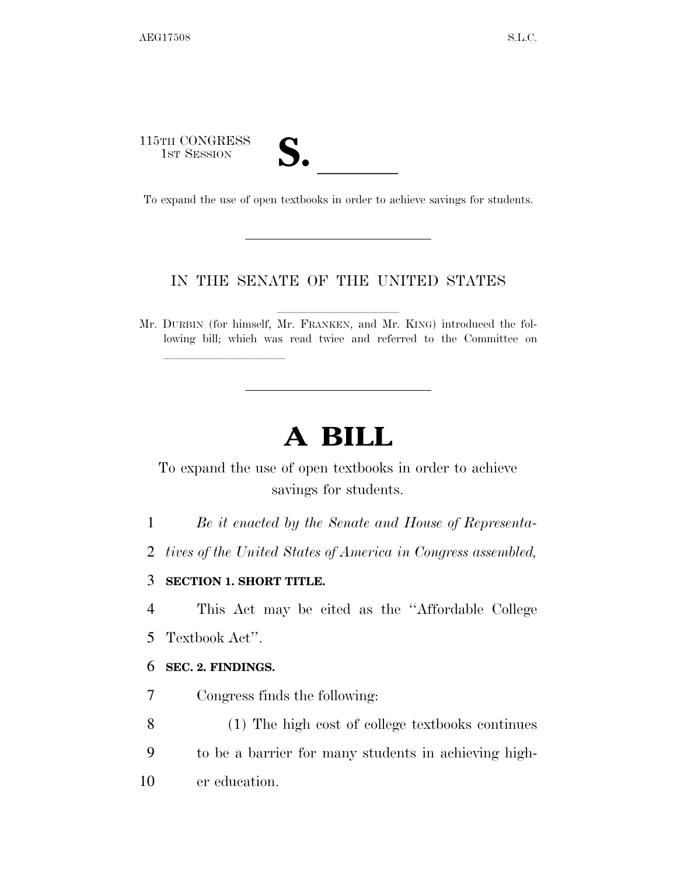115TH CONGRESS 15TH CONGRESS<br>
1ST SESSION<br>
To expand the use of open textbooks in order to achieve savings for students.

## IN THE SENATE OF THE UNITED STATES

Mr. DURBIN (for himself, Mr. FRANKEN, and Mr. KING) introduced the following bill; which was read twice and referred to the Committee on

# **A BILL**

To expand the use of open textbooks in order to achieve savings for students.

1 *Be it enacted by the Senate and House of Representa-*

2 *tives of the United States of America in Congress assembled,* 

### 3 **SECTION 1. SHORT TITLE.**

lla se al constituir a la constituir a la constituir a la constituir a la constituir a la constituir a la cons<br>La constituir a la constituir a la constituir a la constituir a la constituir a la constituir a la constituir

4 This Act may be cited as the ''Affordable College

5 Textbook Act''.

#### 6 **SEC. 2. FINDINGS.**

7 Congress finds the following:

8 (1) The high cost of college textbooks continues

9 to be a barrier for many students in achieving high-

10 er education.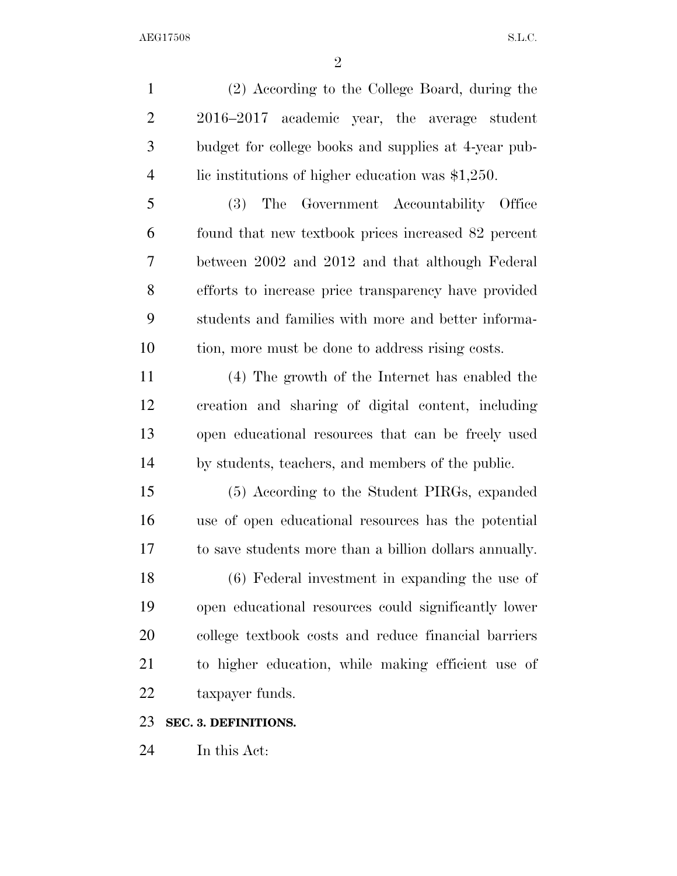(2) According to the College Board, during the 2016–2017 academic year, the average student budget for college books and supplies at 4-year pub-4 lie institutions of higher education was \$1,250.

 (3) The Government Accountability Office found that new textbook prices increased 82 percent between 2002 and 2012 and that although Federal efforts to increase price transparency have provided students and families with more and better informa-tion, more must be done to address rising costs.

 (4) The growth of the Internet has enabled the creation and sharing of digital content, including open educational resources that can be freely used by students, teachers, and members of the public.

 (5) According to the Student PIRGs, expanded use of open educational resources has the potential to save students more than a billion dollars annually.

 (6) Federal investment in expanding the use of open educational resources could significantly lower college textbook costs and reduce financial barriers to higher education, while making efficient use of taxpayer funds.

#### **SEC. 3. DEFINITIONS.**

In this Act: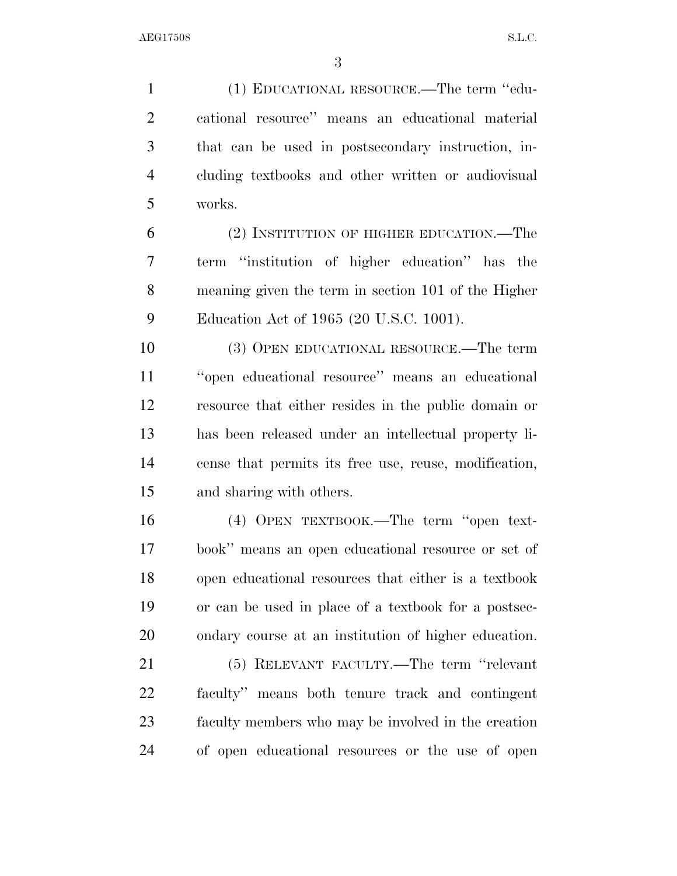(1) EDUCATIONAL RESOURCE.—The term ''edu- cational resource'' means an educational material that can be used in postsecondary instruction, in- cluding textbooks and other written or audiovisual works.

 (2) INSTITUTION OF HIGHER EDUCATION.—The term ''institution of higher education'' has the meaning given the term in section 101 of the Higher Education Act of 1965 (20 U.S.C. 1001).

 (3) OPEN EDUCATIONAL RESOURCE.—The term ''open educational resource'' means an educational resource that either resides in the public domain or has been released under an intellectual property li- cense that permits its free use, reuse, modification, and sharing with others.

 (4) OPEN TEXTBOOK.—The term ''open text- book'' means an open educational resource or set of open educational resources that either is a textbook or can be used in place of a textbook for a postsec-ondary course at an institution of higher education.

 (5) RELEVANT FACULTY.—The term ''relevant faculty'' means both tenure track and contingent faculty members who may be involved in the creation of open educational resources or the use of open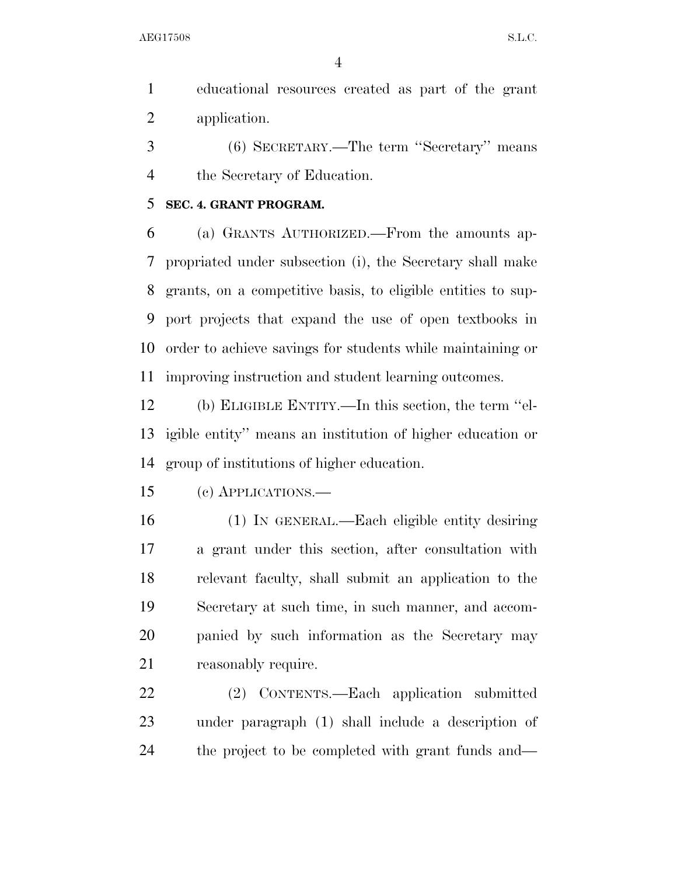AEG17508 S.L.C.

 educational resources created as part of the grant application.

 (6) SECRETARY.—The term ''Secretary'' means the Secretary of Education.

## **SEC. 4. GRANT PROGRAM.**

 (a) GRANTS AUTHORIZED.—From the amounts ap- propriated under subsection (i), the Secretary shall make grants, on a competitive basis, to eligible entities to sup- port projects that expand the use of open textbooks in order to achieve savings for students while maintaining or improving instruction and student learning outcomes.

 (b) ELIGIBLE ENTITY.—In this section, the term ''el- igible entity'' means an institution of higher education or group of institutions of higher education.

(c) APPLICATIONS.—

 (1) IN GENERAL.—Each eligible entity desiring a grant under this section, after consultation with relevant faculty, shall submit an application to the Secretary at such time, in such manner, and accom- panied by such information as the Secretary may 21 reasonably require.

 (2) CONTENTS.—Each application submitted under paragraph (1) shall include a description of the project to be completed with grant funds and—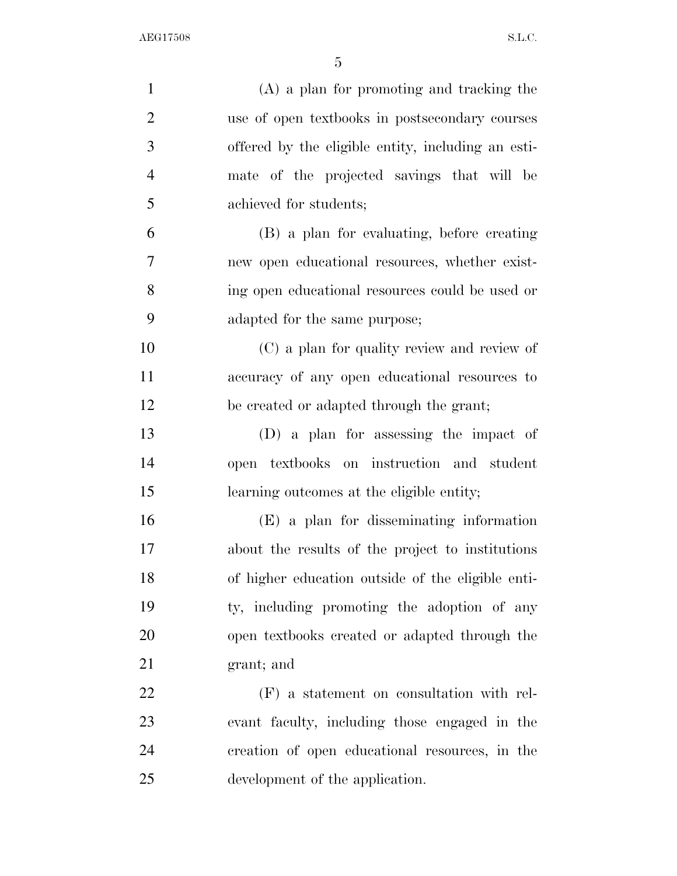| $\mathbf{1}$   | $(A)$ a plan for promoting and tracking the        |
|----------------|----------------------------------------------------|
| $\overline{2}$ | use of open textbooks in postsecondary courses     |
| 3              | offered by the eligible entity, including an esti- |
| $\overline{4}$ | mate of the projected savings that will be         |
| 5              | achieved for students;                             |
| 6              | (B) a plan for evaluating, before creating         |
| 7              | new open educational resources, whether exist-     |
| 8              | ing open educational resources could be used or    |
| 9              | adapted for the same purpose;                      |
| 10             | (C) a plan for quality review and review of        |
| 11             | accuracy of any open educational resources to      |
| 12             | be created or adapted through the grant;           |
| 13             | (D) a plan for assessing the impact of             |
| 14             | open textbooks on instruction and student          |
| 15             | learning outcomes at the eligible entity;          |
| 16             | $(E)$ a plan for disseminating information         |
| 17             | about the results of the project to institutions   |
| 18             | of higher education outside of the eligible enti-  |
| 19             | ty, including promoting the adoption of any        |
| 20             | open textbooks created or adapted through the      |
| 21             | grant; and                                         |
| 22             | $(F)$ a statement on consultation with rel-        |
| 23             | evant faculty, including those engaged in the      |
| 24             | creation of open educational resources, in the     |
| 25             | development of the application.                    |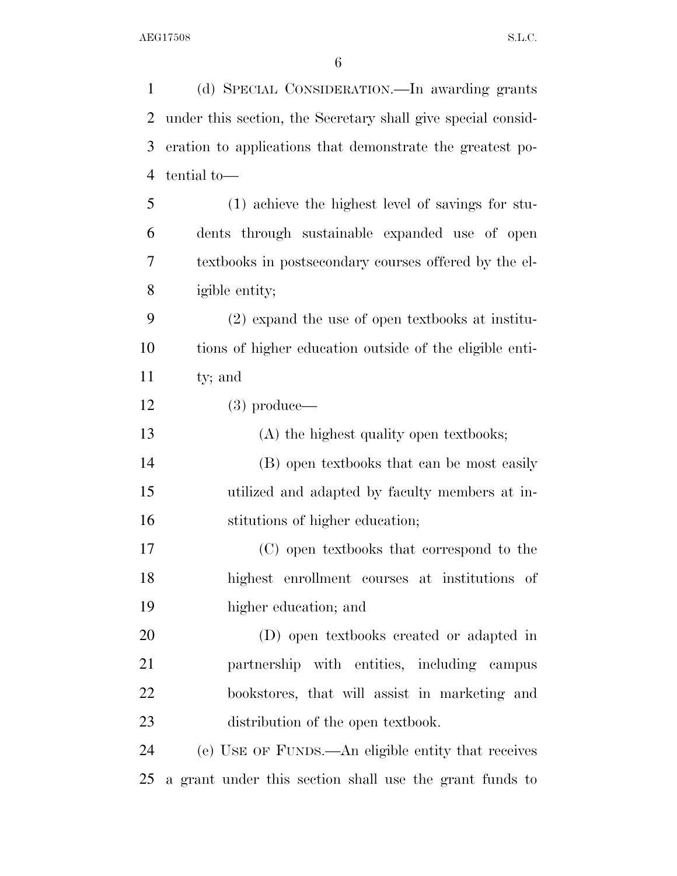(d) SPECIAL CONSIDERATION.—In awarding grants under this section, the Secretary shall give special consid- eration to applications that demonstrate the greatest po- tential to— (1) achieve the highest level of savings for stu- dents through sustainable expanded use of open textbooks in postsecondary courses offered by the el- igible entity; (2) expand the use of open textbooks at institu- tions of higher education outside of the eligible enti- ty; and (3) produce— (A) the highest quality open textbooks; (B) open textbooks that can be most easily utilized and adapted by faculty members at in- stitutions of higher education; (C) open textbooks that correspond to the highest enrollment courses at institutions of higher education; and (D) open textbooks created or adapted in partnership with entities, including campus bookstores, that will assist in marketing and 23 distribution of the open textbook. (e) USE OF FUNDS.—An eligible entity that receives a grant under this section shall use the grant funds to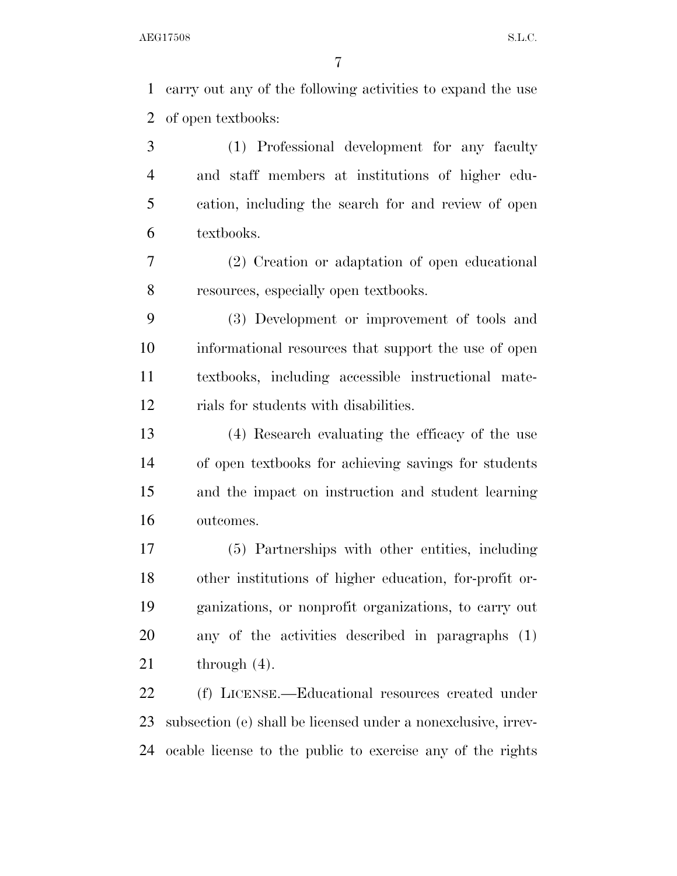carry out any of the following activities to expand the use of open textbooks:

 (1) Professional development for any faculty and staff members at institutions of higher edu- cation, including the search for and review of open textbooks.

 (2) Creation or adaptation of open educational resources, especially open textbooks.

 (3) Development or improvement of tools and informational resources that support the use of open textbooks, including accessible instructional mate-rials for students with disabilities.

 (4) Research evaluating the efficacy of the use of open textbooks for achieving savings for students and the impact on instruction and student learning outcomes.

 (5) Partnerships with other entities, including other institutions of higher education, for-profit or- ganizations, or nonprofit organizations, to carry out any of the activities described in paragraphs (1) 21 through  $(4)$ .

22 (f) LICENSE.—Educational resources created under subsection (e) shall be licensed under a nonexclusive, irrev-ocable license to the public to exercise any of the rights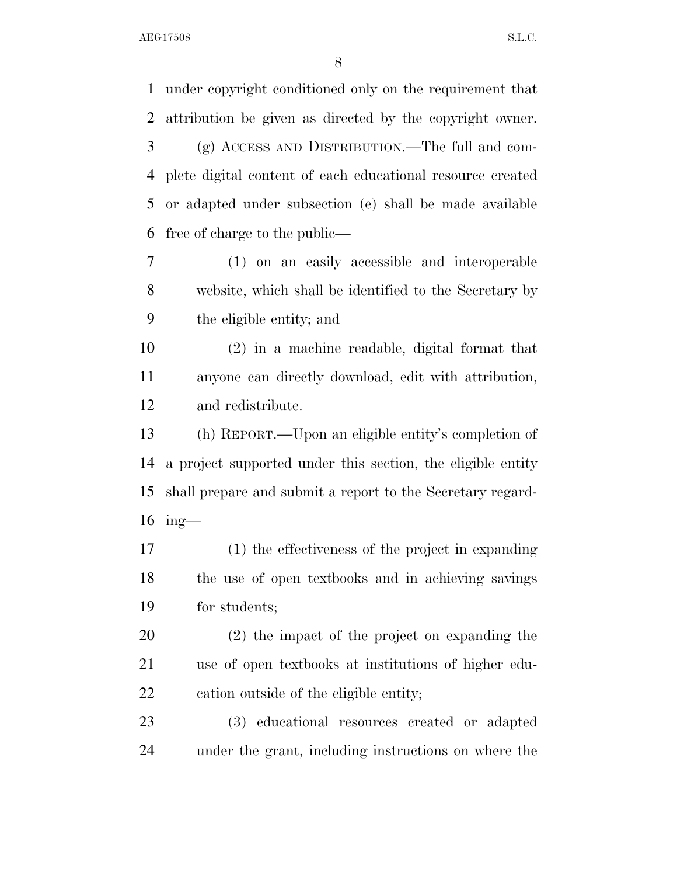AEG17508 S.L.C.

 under copyright conditioned only on the requirement that attribution be given as directed by the copyright owner. (g) ACCESS AND DISTRIBUTION.—The full and com- plete digital content of each educational resource created or adapted under subsection (e) shall be made available free of charge to the public— (1) on an easily accessible and interoperable website, which shall be identified to the Secretary by the eligible entity; and (2) in a machine readable, digital format that anyone can directly download, edit with attribution, and redistribute. (h) REPORT.—Upon an eligible entity's completion of a project supported under this section, the eligible entity shall prepare and submit a report to the Secretary regard- ing— (1) the effectiveness of the project in expanding the use of open textbooks and in achieving savings for students; (2) the impact of the project on expanding the use of open textbooks at institutions of higher edu- cation outside of the eligible entity; (3) educational resources created or adapted under the grant, including instructions on where the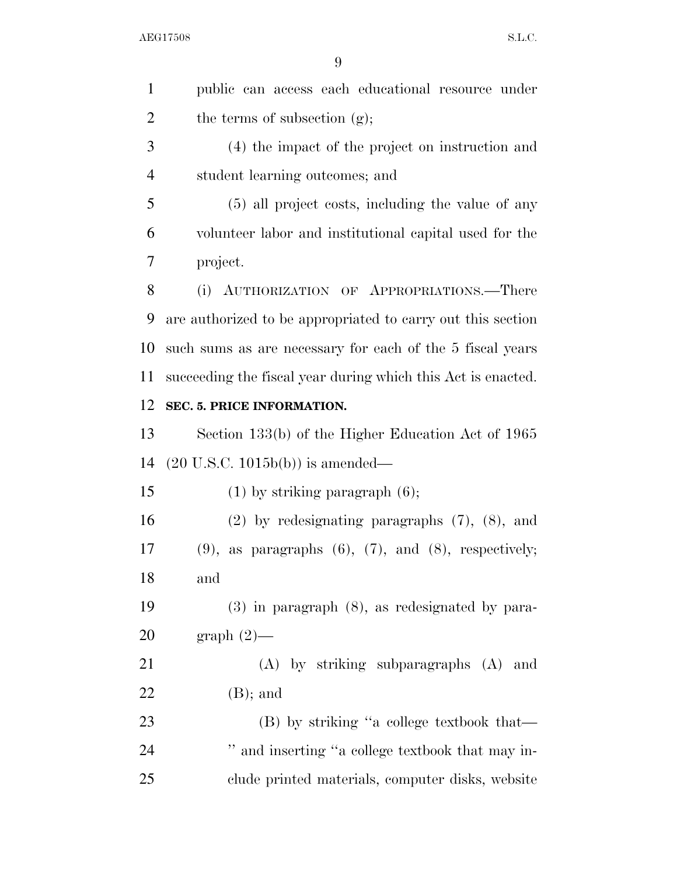| $\mathbf{1}$   | public can access each educational resource under               |
|----------------|-----------------------------------------------------------------|
| $\overline{2}$ | the terms of subsection $(g)$ ;                                 |
| 3              | (4) the impact of the project on instruction and                |
| $\overline{4}$ | student learning outcomes; and                                  |
| 5              | (5) all project costs, including the value of any               |
| 6              | volunteer labor and institutional capital used for the          |
| 7              | project.                                                        |
| 8              | (i) AUTHORIZATION OF APPROPRIATIONS.—There                      |
| 9              | are authorized to be appropriated to carry out this section     |
| 10             | such sums as are necessary for each of the 5 fiscal years       |
| 11             | succeeding the fiscal year during which this Act is enacted.    |
| 12             | SEC. 5. PRICE INFORMATION.                                      |
| 13             | Section 133(b) of the Higher Education Act of 1965              |
| 14             | $(20 \text{ U.S.C. } 1015b(b))$ is amended—                     |
| 15             | $(1)$ by striking paragraph $(6)$ ;                             |
| 16             | $(2)$ by redesignating paragraphs $(7)$ , $(8)$ , and           |
| 17             | $(9)$ , as paragraphs $(6)$ , $(7)$ , and $(8)$ , respectively; |
| 18             | and                                                             |
| 19             | $(3)$ in paragraph $(8)$ , as redesignated by para-             |
| 20             | $graph(2)$ —                                                    |
| 21             | (A) by striking subparagraphs (A) and                           |
| 22             | $(B)$ ; and                                                     |
| 23             | (B) by striking "a college textbook that—                       |
| 24             | " and inserting "a college textbook that may in-                |
| 25             | clude printed materials, computer disks, website                |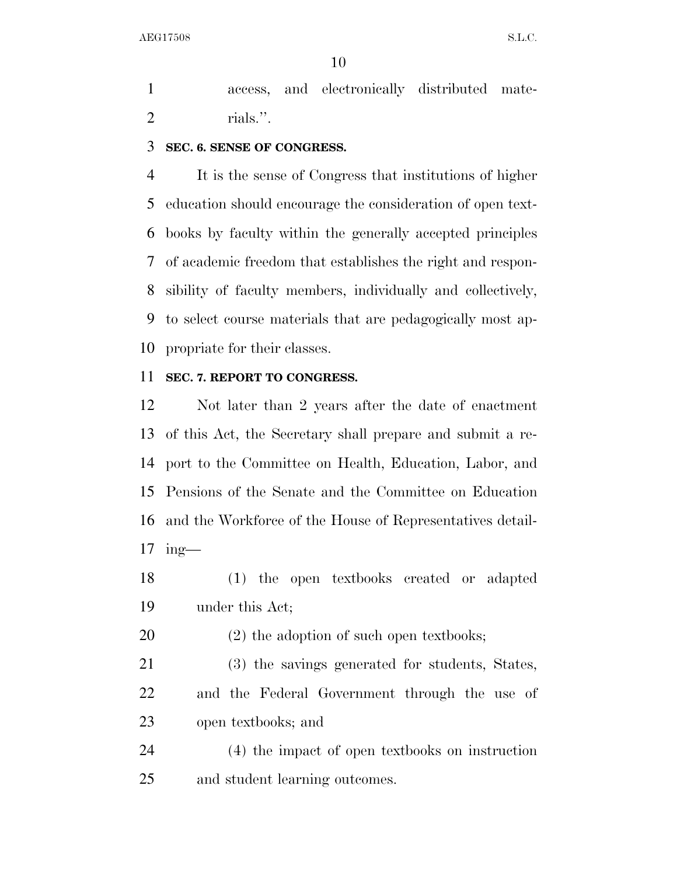access, and electronically distributed mate-rials.''.

#### **SEC. 6. SENSE OF CONGRESS.**

 It is the sense of Congress that institutions of higher education should encourage the consideration of open text- books by faculty within the generally accepted principles of academic freedom that establishes the right and respon- sibility of faculty members, individually and collectively, to select course materials that are pedagogically most ap-propriate for their classes.

#### **SEC. 7. REPORT TO CONGRESS.**

 Not later than 2 years after the date of enactment of this Act, the Secretary shall prepare and submit a re- port to the Committee on Health, Education, Labor, and Pensions of the Senate and the Committee on Education and the Workforce of the House of Representatives detail-ing—

- (1) the open textbooks created or adapted under this Act;
- 20 (2) the adoption of such open textbooks;
- (3) the savings generated for students, States, and the Federal Government through the use of open textbooks; and

 (4) the impact of open textbooks on instruction and student learning outcomes.